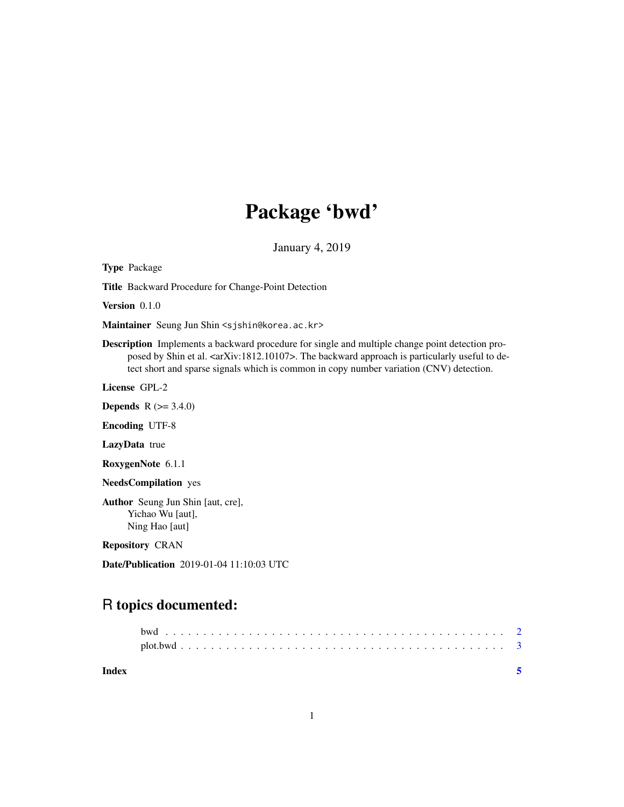## Package 'bwd'

January 4, 2019

Type Package

Title Backward Procedure for Change-Point Detection

Version 0.1.0

Maintainer Seung Jun Shin <sjshin@korea.ac.kr>

Description Implements a backward procedure for single and multiple change point detection proposed by Shin et al. <arXiv:1812.10107>. The backward approach is particularly useful to detect short and sparse signals which is common in copy number variation (CNV) detection.

License GPL-2

**Depends**  $R$  ( $>= 3.4.0$ )

Encoding UTF-8

LazyData true

RoxygenNote 6.1.1

NeedsCompilation yes

Author Seung Jun Shin [aut, cre], Yichao Wu [aut], Ning Hao [aut]

Repository CRAN

Date/Publication 2019-01-04 11:10:03 UTC

### R topics documented:

| Index |  |  |  |  |  |  |  |  |  |  |  |  |  |  |  |  |  |  |  |  |
|-------|--|--|--|--|--|--|--|--|--|--|--|--|--|--|--|--|--|--|--|--|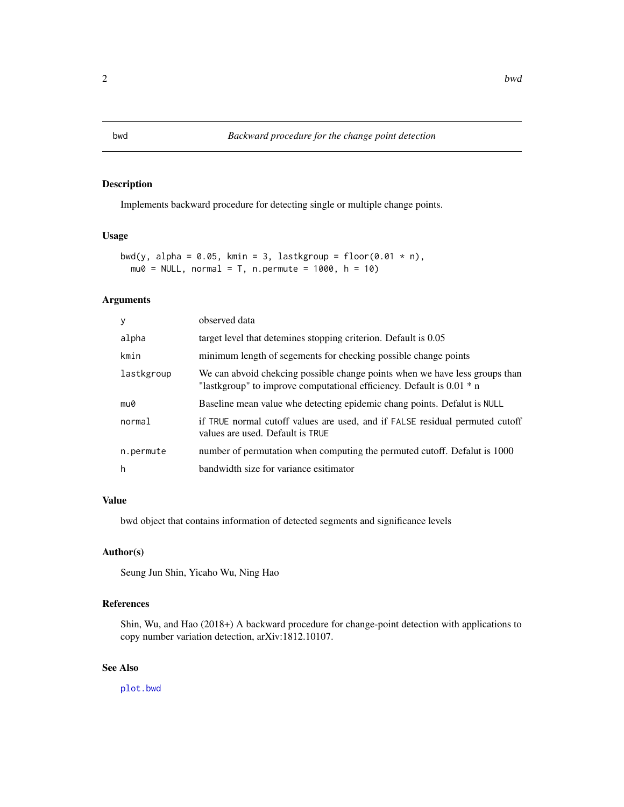#### Description

Implements backward procedure for detecting single or multiple change points.

#### Usage

```
bwd(y, alpha = 0.05, kmin = 3, lastkgroup = floor(0.01 * n),
 mu0 = NULL, normal = T, n.permute = 1000, h = 10)
```
#### Arguments

| observed data                                                                                                                                          |
|--------------------------------------------------------------------------------------------------------------------------------------------------------|
| target level that detemines stopping criterion. Default is 0.05                                                                                        |
| minimum length of segements for checking possible change points                                                                                        |
| We can abvoid chekcing possible change points when we have less groups than<br>"lastkgroup" to improve computational efficiency. Default is $0.01 * n$ |
| Baseline mean value whe detecting epidemic chang points. Defalut is NULL                                                                               |
| if TRUE normal cutoff values are used, and if FALSE residual permuted cutoff<br>values are used. Default is TRUE                                       |
| number of permutation when computing the permuted cutoff. Defalut is 1000                                                                              |
| bandwidth size for variance esitimator                                                                                                                 |
|                                                                                                                                                        |

#### Value

bwd object that contains information of detected segments and significance levels

#### Author(s)

Seung Jun Shin, Yicaho Wu, Ning Hao

#### References

Shin, Wu, and Hao (2018+) A backward procedure for change-point detection with applications to copy number variation detection, arXiv:1812.10107.

#### See Also

[plot.bwd](#page-2-1)

<span id="page-1-1"></span><span id="page-1-0"></span>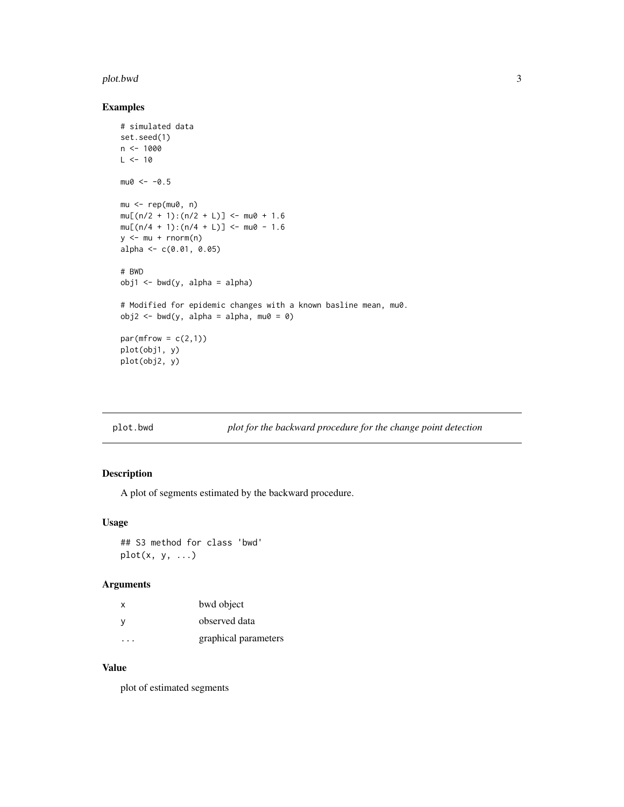#### <span id="page-2-0"></span>plot.bwd 3

#### Examples

```
# simulated data
set.seed(1)
n < -1000L < -10mu0 < -0.5mu < - rep(mu0, n)mu[(n/2 + 1):(n/2 + L)] <- mu0 + 1.6mu[(n/4 + 1):(n/4 + L)] <- mu0 - 1.6y <- mu + rnorm(n)
alpha <- c(0.01, 0.05)
# BWD
obj1 \leftarrow bwd(y, alpha = alpha)# Modified for epidemic changes with a known basline mean, mu0.
obj2 \leq bwd(y, alpha = alpha, mu0 = 0)par(mfrow = c(2,1))plot(obj1, y)
plot(obj2, y)
```
<span id="page-2-1"></span>

| plot.bwd | plot for the backward procedure for the change point detection |  |
|----------|----------------------------------------------------------------|--|
|----------|----------------------------------------------------------------|--|

#### Description

A plot of segments estimated by the backward procedure.

#### Usage

## S3 method for class 'bwd'  $plot(x, y, ...)$ 

#### Arguments

| x | bwd object           |
|---|----------------------|
| ٧ | observed data        |
|   | graphical parameters |

#### Value

plot of estimated segments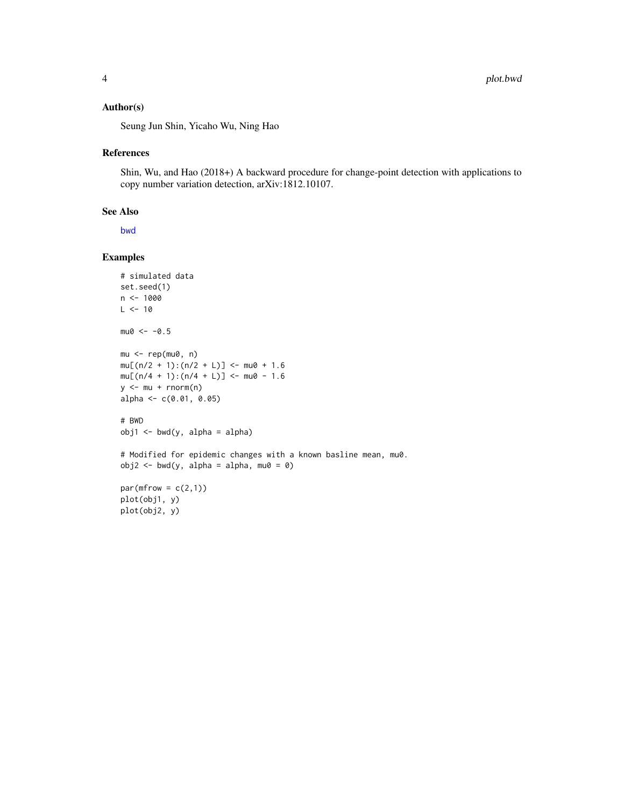#### <span id="page-3-0"></span>Author(s)

Seung Jun Shin, Yicaho Wu, Ning Hao

#### References

Shin, Wu, and Hao (2018+) A backward procedure for change-point detection with applications to copy number variation detection, arXiv:1812.10107.

#### See Also

[bwd](#page-1-1)

#### Examples

```
# simulated data
set.seed(1)
n <- 1000
L < -10mu0 < -0.5mu <- rep(mu0, n)
mu[(n/2 + 1):(n/2 + L)] <- mu0 + 1.6mu[(n/4 + 1):(n/4 + L)] <- mu0 - 1.6y <- mu + rnorm(n)
alpha <- c(0.01, 0.05)
# BWD
obj1 \leftarrow bwd(y, alpha = alpha)# Modified for epidemic changes with a known basline mean, mu0.
obj2 \leq bwd(y, alpha = alpha, mu0 = 0)par(mfrow = c(2,1))plot(obj1, y)
plot(obj2, y)
```